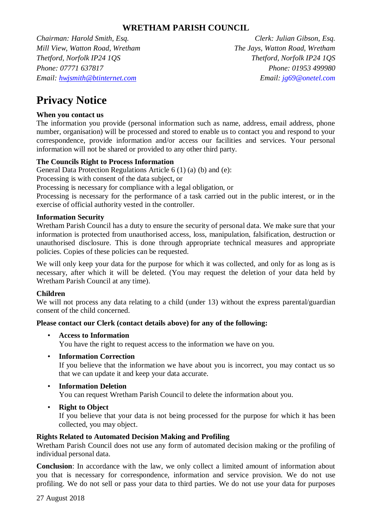# **WRETHAM PARISH COUNCIL**

*Chairman: Harold Smith, Esq. Clerk: Julian Gibson, Esq. Mill View, Watton Road, Wretham The Jays, Watton Road, Wretham Thetford, Norfolk IP24 1QS Thetford, Norfolk IP24 1QS Phone: 07771 637817 Phone: 01953 499980 Email: hwjsmith@btinternet.com Email: jg69@onetel.com*

# **Privacy Notice**

# **When you contact us**

The information you provide (personal information such as name, address, email address, phone number, organisation) will be processed and stored to enable us to contact you and respond to your correspondence, provide information and/or access our facilities and services. Your personal information will not be shared or provided to any other third party.

## **The Councils Right to Process Information**

General Data Protection Regulations Article 6 (1) (a) (b) and (e):

Processing is with consent of the data subject, or

Processing is necessary for compliance with a legal obligation, or

Processing is necessary for the performance of a task carried out in the public interest, or in the exercise of official authority vested in the controller.

#### **Information Security**

Wretham Parish Council has a duty to ensure the security of personal data. We make sure that your information is protected from unauthorised access, loss, manipulation, falsification, destruction or unauthorised disclosure. This is done through appropriate technical measures and appropriate policies. Copies of these policies can be requested.

We will only keep your data for the purpose for which it was collected, and only for as long as is necessary, after which it will be deleted. (You may request the deletion of your data held by Wretham Parish Council at any time).

#### **Children**

We will not process any data relating to a child (under 13) without the express parental/guardian consent of the child concerned.

#### **Please contact our Clerk (contact details above) for any of the following:**

#### • **Access to Information**

You have the right to request access to the information we have on you.

• **Information Correction**

If you believe that the information we have about you is incorrect, you may contact us so that we can update it and keep your data accurate.

• **Information Deletion**

You can request Wretham Parish Council to delete the information about you.

**Right to Object** 

If you believe that your data is not being processed for the purpose for which it has been collected, you may object.

#### **Rights Related to Automated Decision Making and Profiling**

Wretham Parish Council does not use any form of automated decision making or the profiling of individual personal data.

**Conclusion**: In accordance with the law, we only collect a limited amount of information about you that is necessary for correspondence, information and service provision. We do not use profiling. We do not sell or pass your data to third parties. We do not use your data for purposes